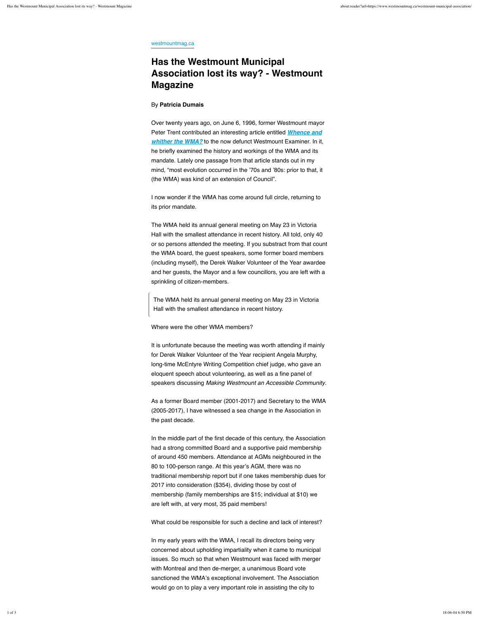westmountmag.ca

## **Has the Westmount Municipal Association lost its way? - Westmount Magazine**

## By **Patricia Dumais**

Over twenty years ago, on June 6, 1996, former Westmount mayor Peter Trent contributed an interesting article entitled *Whence and whither the WMA?* to the now defunct Westmount Examiner. In it, he briefly examined the history and workings of the WMA and its mandate. Lately one passage from that article stands out in my mind, "most evolution occurred in the '70s and '80s: prior to that, it (the WMA) was kind of an extension of Council".

I now wonder if the WMA has come around full circle, returning to its prior mandate.

The WMA held its annual general meeting on May 23 in Victoria Hall with the smallest attendance in recent history. All told, only 40 or so persons attended the meeting. If you substract from that count the WMA board, the guest speakers, some former board members (including myself), the Derek Walker Volunteer of the Year awardee and her guests, the Mayor and a few councillors, you are left with a sprinkling of citizen-members.

The WMA held its annual general meeting on May 23 in Victoria Hall with the smallest attendance in recent history.

Where were the other WMA members?

It is unfortunate because the meeting was worth attending if mainly for Derek Walker Volunteer of the Year recipient Angela Murphy, long-time McEntyre Writing Competition chief judge, who gave an eloquent speech about volunteering, as well as a fine panel of speakers discussing *Making Westmount an Accessible Community*.

As a former Board member (2001-2017) and Secretary to the WMA (2005-2017), I have witnessed a sea change in the Association in the past decade.

In the middle part of the first decade of this century, the Association had a strong committed Board and a supportive paid membership of around 450 members. Attendance at AGMs neighboured in the 80 to 100-person range. At this year's AGM, there was no traditional membership report but if one takes membership dues for 2017 into consideration (\$354), dividing those by cost of membership (family memberships are \$15; individual at \$10) we are left with, at very most, 35 paid members!

What could be responsible for such a decline and lack of interest?

In my early years with the WMA, I recall its directors being very concerned about upholding impartiality when it came to municipal issues. So much so that when Westmount was faced with merger with Montreal and then de-merger, a unanimous Board vote sanctioned the WMA's exceptional involvement. The Association would go on to play a very important role in assisting the city to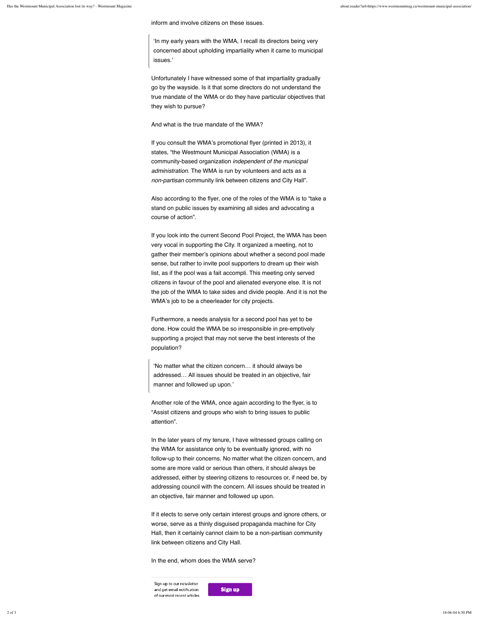inform and involve citizens on these issues.

ʻIn my early years with the WMA, I recall its directors being very concerned about upholding impartiality when it came to municipal issues.'

Unfortunately I have witnessed some of that impartiality gradually go by the wayside. Is it that some directors do not understand the true mandate of the WMA or do they have particular objectives that they wish to pursue?

And what is the true mandate of the WMA?

If you consult the WMA's promotional flyer (printed in 2013), it states, "the Westmount Municipal Association (WMA) is a community-based organization *independent of the municipal administration*. The WMA is run by volunteers and acts as a *non-partisan* community link between citizens and City Hall".

Also according to the flyer, one of the roles of the WMA is to "take a stand on public issues by examining all sides and advocating a course of action".

If you look into the current Second Pool Project, the WMA has been very vocal in supporting the City. It organized a meeting, not to gather their member's opinions about whether a second pool made sense, but rather to invite pool supporters to dream up their wish list, as if the pool was a fait accompli. This meeting only served citizens in favour of the pool and alienated everyone else. It is not the job of the WMA to take sides and divide people. And it is not the WMA's job to be a cheerleader for city projects.

Furthermore, a needs analysis for a second pool has yet to be done. How could the WMA be so irresponsible in pre-emptively supporting a project that may not serve the best interests of the population?

ʻNo matter what the citizen concern… it should always be addressed… All issues should be treated in an objective, fair manner and followed up upon.'

Another role of the WMA, once again according to the flyer, is to "Assist citizens and groups who wish to bring issues to public attention".

In the later years of my tenure, I have witnessed groups calling on the WMA for assistance only to be eventually ignored, with no follow-up to their concerns. No matter what the citizen concern, and some are more valid or serious than others, it should always be addressed, either by steering citizens to resources or, if need be, by addressing council with the concern. All issues should be treated in an objective, fair manner and followed up upon.

If it elects to serve only certain interest groups and ignore others, or worse, serve as a thinly disguised propaganda machine for City Hall, then it certainly cannot claim to be a non-partisan community link between citizens and City Hall.

In the end, whom does the WMA serve?

Sign-up to our newsletter and get email notification of our most recent articles

Sign up